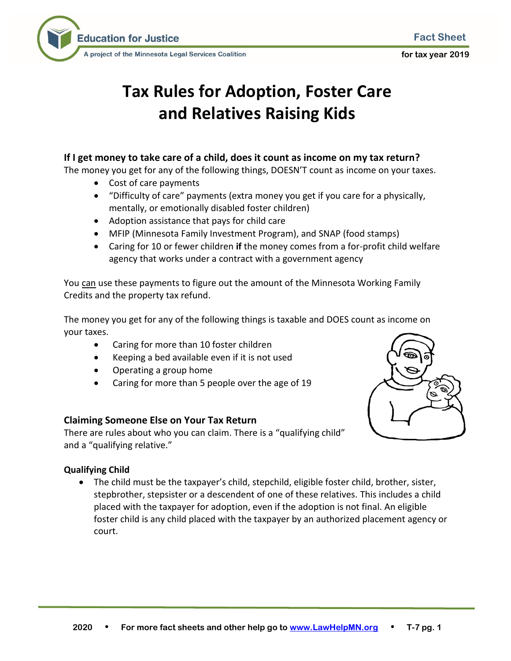

**for tax year 2019**



# **Tax Rules for Adoption, Foster Care and Relatives Raising Kids**

# **If I get money to take care of a child, does it count as income on my tax return?**

The money you get for any of the following things, DOESN'T count as income on your taxes.

- Cost of care payments
- "Difficulty of care" payments (extra money you get if you care for a physically, mentally, or emotionally disabled foster children)
- Adoption assistance that pays for child care
- MFIP (Minnesota Family Investment Program), and SNAP (food stamps)
- Caring for 10 or fewer children **if** the money comes from a for-profit child welfare agency that works under a contract with a government agency

You can use these payments to figure out the amount of the Minnesota Working Family Credits and the property tax refund.

The money you get for any of the following things is taxable and DOES count as income on your taxes.

- Caring for more than 10 foster children
- Keeping a bed available even if it is not used
- Operating a group home
- Caring for more than 5 people over the age of 19

## **Claiming Someone Else on Your Tax Return**

There are rules about who you can claim. There is a "qualifying child" and a "qualifying relative."



## **Qualifying Child**

• The child must be the taxpayer's child, stepchild, eligible foster child, brother, sister, stepbrother, stepsister or a descendent of one of these relatives. This includes a child placed with the taxpayer for adoption, even if the adoption is not final. An eligible foster child is any child placed with the taxpayer by an authorized placement agency or court.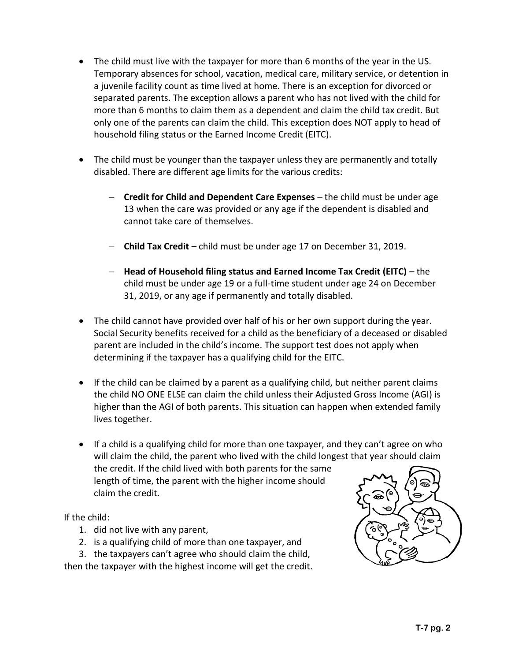- The child must live with the taxpayer for more than 6 months of the year in the US. Temporary absences for school, vacation, medical care, military service, or detention in a juvenile facility count as time lived at home. There is an exception for divorced or separated parents. The exception allows a parent who has not lived with the child for more than 6 months to claim them as a dependent and claim the child tax credit. But only one of the parents can claim the child. This exception does NOT apply to head of household filing status or the Earned Income Credit (EITC).
- The child must be younger than the taxpayer unless they are permanently and totally disabled. There are different age limits for the various credits:
	- − **Credit for Child and Dependent Care Expenses**  the child must be under age 13 when the care was provided or any age if the dependent is disabled and cannot take care of themselves.
	- − **Child Tax Credit** child must be under age 17 on December 31, 2019.
	- − **Head of Household filing status and Earned Income Tax Credit (EITC)** the child must be under age 19 or a full-time student under age 24 on December 31, 2019, or any age if permanently and totally disabled.
- The child cannot have provided over half of his or her own support during the year. Social Security benefits received for a child as the beneficiary of a deceased or disabled parent are included in the child's income. The support test does not apply when determining if the taxpayer has a qualifying child for the EITC.
- If the child can be claimed by a parent as a qualifying child, but neither parent claims the child NO ONE ELSE can claim the child unless their Adjusted Gross Income (AGI) is higher than the AGI of both parents. This situation can happen when extended family lives together.
- If a child is a qualifying child for more than one taxpayer, and they can't agree on who will claim the child, the parent who lived with the child longest that year should claim the credit. If the child lived with both parents for the same length of time, the parent with the higher income should claim the credit.

If the child:

- 1. did not live with any parent,
- 2. is a qualifying child of more than one taxpayer, and

3. the taxpayers can't agree who should claim the child, then the taxpayer with the highest income will get the credit.

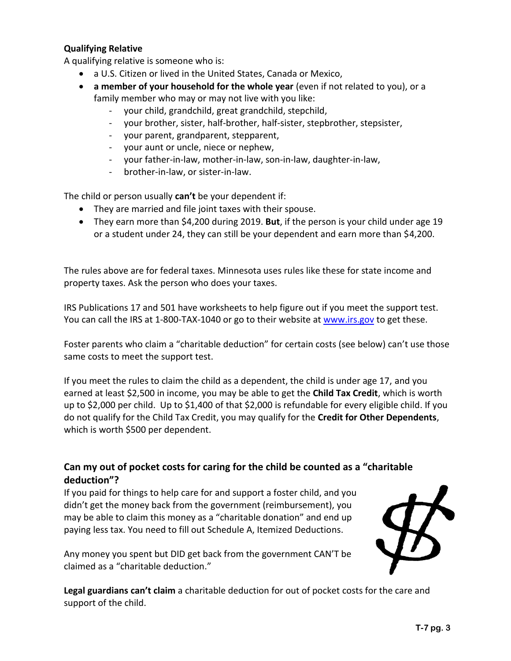#### **Qualifying Relative**

A qualifying relative is someone who is:

- a U.S. Citizen or lived in the United States, Canada or Mexico,
- **a member of your household for the whole year** (even if not related to you), or a family member who may or may not live with you like:
	- your child, grandchild, great grandchild, stepchild,
	- your brother, sister, half-brother, half-sister, stepbrother, stepsister,
	- your parent, grandparent, stepparent,
	- your aunt or uncle, niece or nephew,
	- your father-in-law, mother-in-law, son-in-law, daughter-in-law,
	- brother-in-law, or sister-in-law.

The child or person usually **can't** be your dependent if:

- They are married and file joint taxes with their spouse.
- They earn more than \$4,200 during 2019. **But**, if the person is your child under age 19 or a student under 24, they can still be your dependent and earn more than \$4,200.

The rules above are for federal taxes. Minnesota uses rules like these for state income and property taxes. Ask the person who does your taxes.

IRS Publications 17 and 501 have worksheets to help figure out if you meet the support test. You can call the IRS at 1-800-TAX-1040 or go to their website at [www.irs.gov](http://www.irs.gov/) to get these.

Foster parents who claim a "charitable deduction" for certain costs (see below) can't use those same costs to meet the support test.

If you meet the rules to claim the child as a dependent, the child is under age 17, and you earned at least \$2,500 in income, you may be able to get the **Child Tax Credit**, which is worth up to \$2,000 per child. Up to \$1,400 of that \$2,000 is refundable for every eligible child. If you do not qualify for the Child Tax Credit, you may qualify for the **Credit for Other Dependents**, which is worth \$500 per dependent.

## **Can my out of pocket costs for caring for the child be counted as a "charitable deduction"?**

If you paid for things to help care for and support a foster child, and you didn't get the money back from the government (reimbursement), you may be able to claim this money as a "charitable donation" and end up paying less tax. You need to fill out Schedule A, Itemized Deductions.

Any money you spent but DID get back from the government CAN'T be claimed as a "charitable deduction."



**Legal guardians can't claim** a charitable deduction for out of pocket costs for the care and support of the child.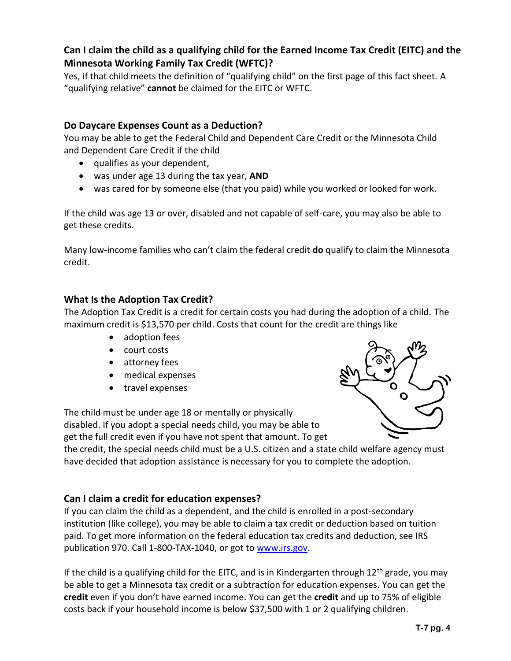# **Can I claim the child as a qualifying child for the Earned Income Tax Credit (EITC) and the Minnesota Working Family Tax Credit (WFTC)?**

Yes, if that child meets the definition of "qualifying child" on the first page of this fact sheet. A "qualifying relative" **cannot** be claimed for the EITC or WFTC.

# **Do Daycare Expenses Count as a Deduction?**

You may be able to get the Federal Child and Dependent Care Credit or the Minnesota Child and Dependent Care Credit if the child

- qualifies as your dependent,
- was under age 13 during the tax year, **AND**
- was cared for by someone else (that you paid) while you worked or looked for work.

If the child was age 13 or over, disabled and not capable of self-care, you may also be able to get these credits.

Many low-income families who can't claim the federal credit **do** qualify to claim the Minnesota credit.

## **What Is the Adoption Tax Credit?**

The Adoption Tax Credit is a credit for certain costs you had during the adoption of a child. The maximum credit is \$13,570 per child. Costs that count for the credit are things like

- adoption fees
- court costs
- attorney fees
- medical expenses
- travel expenses

The child must be under age 18 or mentally or physically disabled. If you adopt a special needs child, you may be able to get the full credit even if you have not spent that amount. To get



the credit, the special needs child must be a U.S. citizen and a state child welfare agency must have decided that adoption assistance is necessary for you to complete the adoption.

## **Can I claim a credit for education expenses?**

If you can claim the child as a dependent, and the child is enrolled in a post-secondary institution (like college), you may be able to claim a tax credit or deduction based on tuition paid. To get more information on the federal education tax credits and deduction, see IRS publication 970. Call 1-800-TAX-1040, or got t[o www.irs.gov.](http://www.irs.gov/)

If the child is a qualifying child for the EITC, and is in Kindergarten through  $12<sup>th</sup>$  grade, you may be able to get a Minnesota tax credit or a subtraction for education expenses. You can get the **credit** even if you don't have earned income. You can get the **credit** and up to 75% of eligible costs back if your household income is below \$37,500 with 1 or 2 qualifying children.